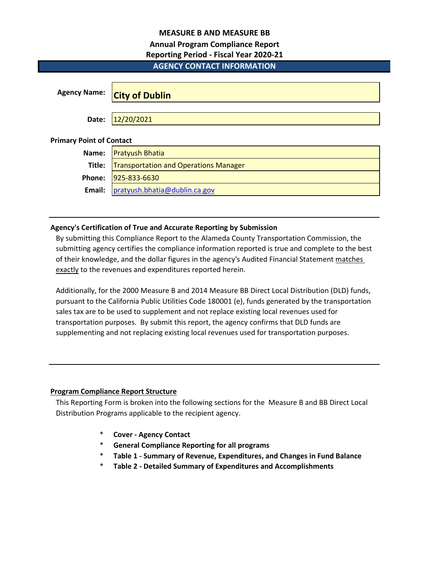## **MEASURE B AND MEASURE BB**

# **Annual Program Compliance Report**

## **Reporting Period - Fiscal Year 2020-21**

# **AGENCY CONTACT INFORMATION**

| <b>Agency Name:</b>             | <b>City of Dublin</b>                        |  |  |  |  |  |  |  |
|---------------------------------|----------------------------------------------|--|--|--|--|--|--|--|
| Date:                           | 12/20/2021                                   |  |  |  |  |  |  |  |
| <b>Primary Point of Contact</b> |                                              |  |  |  |  |  |  |  |
| Name:                           | <b>Pratyush Bhatia</b>                       |  |  |  |  |  |  |  |
| Title:                          | <b>Transportation and Operations Manager</b> |  |  |  |  |  |  |  |
| Phone:                          | 925-833-6630                                 |  |  |  |  |  |  |  |
| Email:                          | pratyush.bhatia@dublin.ca.gov                |  |  |  |  |  |  |  |

## **Agency's Certification of True and Accurate Reporting by Submission**

By submitting this Compliance Report to the Alameda County Transportation Commission, the submitting agency certifies the compliance information reported is true and complete to the best of their knowledge, and the dollar figures in the agency's Audited Financial Statement matches exactly to the revenues and expenditures reported herein.

Additionally, for the 2000 Measure B and 2014 Measure BB Direct Local Distribution (DLD) funds, pursuant to the California Public Utilities Code 180001 (e), funds generated by the transportation sales tax are to be used to supplement and not replace existing local revenues used for transportation purposes. By submit this report, the agency confirms that DLD funds are supplementing and not replacing existing local revenues used for transportation purposes.

## **Program Compliance Report Structure**

This Reporting Form is broken into the following sections for the Measure B and BB Direct Local Distribution Programs applicable to the recipient agency.

- \* **Cover Agency Contact**
- \* **General Compliance Reporting for all programs**
- \* **Table 1 Summary of Revenue, Expenditures, and Changes in Fund Balance**
- \* **Table 2 Detailed Summary of Expenditures and Accomplishments**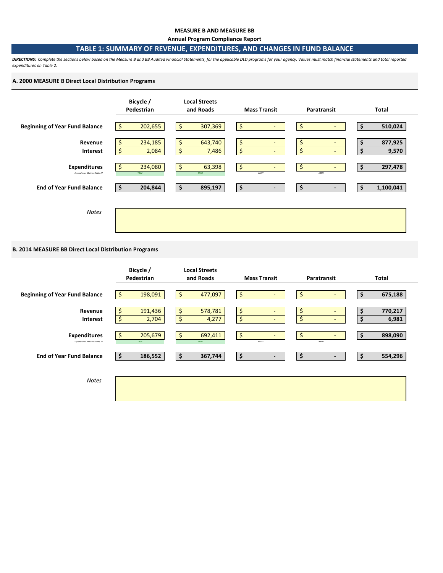#### **MEASURE B AND MEASURE BB**

**Annual Program Compliance Report**

## **TABLE 1: SUMMARY OF REVENUE, EXPENDITURES, AND CHANGES IN FUND BALANCE**

*DIRECTIONS: Complete the sections below based on the Measure B and BB Audited Financial Statements, for the applicable DLD programs for your agency. Values must match financial statements and total reported expenditures on Table 2.* 

### **A. 2000 MEASURE B Direct Local Distribution Programs**



## **B. 2014 MEASURE BB Direct Local Distribution Programs**

|                                                      | Bicycle /<br>Pedestrian      | <b>Local Streets</b><br>and Roads | <b>Mass Transit</b>                    | Paratransit                          | Total                        |
|------------------------------------------------------|------------------------------|-----------------------------------|----------------------------------------|--------------------------------------|------------------------------|
| <b>Beginning of Year Fund Balance</b>                | 198,091<br>Ŝ.                | \$<br>477,097                     | \$                                     | \$<br>۰                              | 675,188<br>\$                |
| Revenue<br>Interest                                  | 191,436<br>\$<br>\$<br>2,704 | \$<br>578,781<br>\$<br>4,277      | \$<br>$\sim$<br>\$<br>$\sim$           | \$<br>$\overline{\phantom{a}}$<br>\$ | 770,217<br>\$<br>6,981<br>\$ |
| <b>Expenditures</b><br>Expenditures Matches Table 2? | 205,679<br>\$.<br>TRUE       | \$<br>692,411<br>TRUE             | $\ddot{\mathsf{S}}$<br>$\sim$<br>#REF! | \$<br>۰<br>#REF!                     | 898,090<br>\$                |
| <b>End of Year Fund Balance</b>                      | 186,552<br>-S                | 367,744<br>\$                     | \$<br>$\blacksquare$                   | \$<br>$\overline{\phantom{a}}$       | \$<br>554,296                |
| <b>Notes</b>                                         |                              |                                   |                                        |                                      |                              |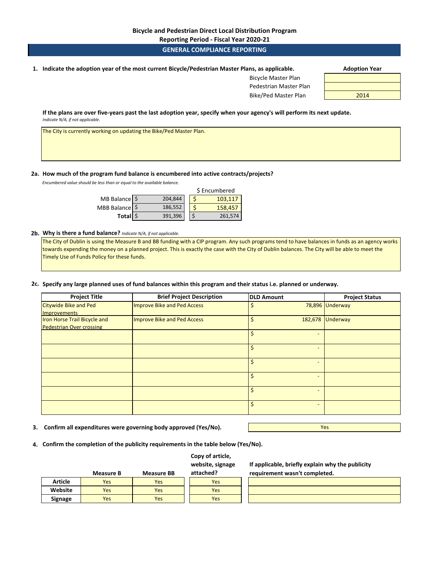**Reporting Period - Fiscal Year 2020-21**

### **GENERAL COMPLIANCE REPORTING**

**1. Adoption Year Indicate the adoption year of the most current Bicycle/Pedestrian Master Plans, as applicable.** 

| <b>Adoption Year</b> |  |
|----------------------|--|
|----------------------|--|

Bicycle Master Plan Pedestrian Master Plan Bike/Ped Master Plan 2014

**If the plans are over five-years past the last adoption year, specify when your agency's will perform its next update.**  *Indicate N/A, if not applicable.* 

The City is currently working on updating the Bike/Ped Master Plan.

#### **2a. How much of the program fund balance is encumbered into active contracts/projects?**

*Encumbered value should be less than or equal to the available balance.* 

|                          |         | \$ Encumbered |
|--------------------------|---------|---------------|
| MB Balance $\frac{1}{2}$ | 204,844 | 103.117       |
| MBB Balance   \$         | 186,552 | 158,457       |
| Total \$                 | 391,396 | 261,574       |

#### **2b. Why is there a fund balance?** *Indicate N/A, if not applicable.*

The City of Dublin is using the Measure B and BB funding with a CIP program. Any such programs tend to have balances in funds as an agency works towards expending the money on a planned project. This is exactly the case with the City of Dublin balances. The City will be able to meet the Timely Use of Funds Policy for these funds.

### **2c. Specify any large planned uses of fund balances within this program and their status i.e. planned or underway.**

| <b>Project Title</b>            | <b>Brief Project Description</b> | <b>DLD Amount</b>        | <b>Project Status</b> |
|---------------------------------|----------------------------------|--------------------------|-----------------------|
| <b>Citywide Bike and Ped</b>    | Improve Bike and Ped Access      |                          | 78,896 Underway       |
| <b>Improvements</b>             |                                  |                          |                       |
| Iron Horse Trail Bicycle and    | Improve Bike and Ped Access      |                          | 182,678 Underway      |
| <b>Pedestrian Over crossing</b> |                                  |                          |                       |
|                                 |                                  | -                        |                       |
|                                 |                                  |                          |                       |
|                                 |                                  | $\overline{\phantom{a}}$ |                       |
|                                 |                                  |                          |                       |
|                                 |                                  |                          |                       |
|                                 |                                  |                          |                       |
|                                 |                                  |                          |                       |
|                                 |                                  |                          |                       |
|                                 |                                  | $\overline{\phantom{a}}$ |                       |
|                                 |                                  |                          |                       |

**3. Confirm all expenditures were governing body approved (Yes/No).**

Yes

**4. Confirm the completion of the publicity requirements in the table below (Yes/No).**

|                | <b>Measure B</b> | <b>Measure BB</b> | Copy of article,<br>website, signage<br>attached? |
|----------------|------------------|-------------------|---------------------------------------------------|
| <b>Article</b> | Yes              | Yes               | Yes                                               |
| Website        | Yes              | Yes               | Yes                                               |
| Signage        | Yes              | Yes               | Yes                                               |

**If applicable, briefly explain why the publicity requirement wasn't completed.**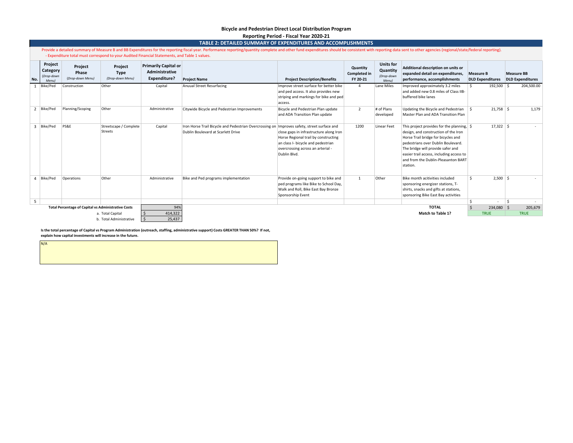#### **Bicycle and Pedestrian Direct Local Distribution Program Reporting Period - Fiscal Year 2020-21**

|--|

|                         | Provide a detailed summary of Measure B and BB Expenditures for the reporting fiscal year. Performance reporting/quantity complete and other fund expenditures should be consistent with reporting data sent to other agencies<br>- Expenditure total must correspond to your Audited Financial Statements, and Table 1 values. |                                                            |                                            |                                                               |                                                                                                                                   |                                                                                                                                                                            |                                             |                                                     |                                                                                                                                                                                                                                                                                                                |                                             |              |                   |                         |
|-------------------------|---------------------------------------------------------------------------------------------------------------------------------------------------------------------------------------------------------------------------------------------------------------------------------------------------------------------------------|------------------------------------------------------------|--------------------------------------------|---------------------------------------------------------------|-----------------------------------------------------------------------------------------------------------------------------------|----------------------------------------------------------------------------------------------------------------------------------------------------------------------------|---------------------------------------------|-----------------------------------------------------|----------------------------------------------------------------------------------------------------------------------------------------------------------------------------------------------------------------------------------------------------------------------------------------------------------------|---------------------------------------------|--------------|-------------------|-------------------------|
| No.                     | Project<br>Category<br>(Drop-down<br>Menu)                                                                                                                                                                                                                                                                                      | Project<br>Phase<br>(Drop-down Menu)                       | Project<br><b>Type</b><br>(Drop-down Menu) | <b>Primarily Capital or</b><br>Administrative<br>Expenditure? | <b>Project Name</b>                                                                                                               | <b>Project Description/Benefits</b>                                                                                                                                        | Quantity<br><b>Completed in</b><br>FY 20-21 | <b>Units for</b><br>Quantity<br>(Drop-down<br>Menu) | Additional description on units or<br>expanded detail on expenditures,<br>performance, accomplishments                                                                                                                                                                                                         | <b>Measure B</b><br><b>DLD Expenditures</b> |              | <b>Measure BB</b> | <b>DLD Expenditures</b> |
|                         | Bike/Ped                                                                                                                                                                                                                                                                                                                        | Construction                                               | Other                                      | Capital                                                       | Anuual Street Resurfacing                                                                                                         | Improve street surface for better bike<br>and ped access. It also provides new<br>striping and markings for bike and ped<br>access.                                        | $\overline{4}$                              | Lane Miles                                          | Improved approximately 3.2 miles<br>and added new 0.8 miles of Class IIB-<br>buffered bike lanes                                                                                                                                                                                                               | s.                                          | $192,500$ \$ |                   | 204,500.00              |
|                         | 2 Bike/Ped                                                                                                                                                                                                                                                                                                                      | Planning/Scoping                                           | Other                                      | Administrative                                                | Citywide Bicycle and Pedestrian Improvements                                                                                      | Bicycle and Pedestrian Plan update<br>and ADA Transition Plan update                                                                                                       | $\overline{2}$                              | # of Plans<br>developed                             | Updating the Bicycle and Pedestrian<br>Master Plan and ADA Transition Plan                                                                                                                                                                                                                                     | ۱s                                          | $21,758$ \$  |                   | 1,179                   |
| 3                       | Bike/Ped                                                                                                                                                                                                                                                                                                                        | PS&E                                                       | Streetscape / Complete<br>Streets          | Capital                                                       | Iron Horse Trail Bicycle and Pedestrian Overcrossing on Improves safety, street surface and<br>Dublin Boulevard at Scarlett Drive | close gaps in infrastructure along Iron<br>Horse Regional trail by constructing<br>an class I- bicycle and pedestrian<br>overcrossing across an arterial -<br>Dublin Blvd. | 1200                                        | <b>Linear Feet</b>                                  | This project provides for the planning, $\frac{1}{2}$<br>design, and construction of the Iron<br>Horse Trail bridge for bicycles and<br>pedestrians over Dublin Boulevard.<br>The bridge will provide safer and<br>easier trail access, including access to<br>and from the Dublin-Pleasanton BART<br>station. |                                             | $17,322$ \$  |                   | $\sim$                  |
|                         | 4 Bike/Ped                                                                                                                                                                                                                                                                                                                      | Operations                                                 | Other                                      | Administrative                                                | Bike and Ped programs implementation                                                                                              | Provide on-going support to bike and<br>ped programs like Bike to School Day,<br>Walk and Roll, Bike East Bay Bronze<br>Sponsorship Event                                  | 1                                           | Other                                               | Bike month acitivities included<br>sponsoring energizer stations, T-<br>shirts, snacks and gifts at stations,<br>sponsoring Bike East Bay activities                                                                                                                                                           | Ŝ.                                          | $2,500$ \$   |                   | $\sim$                  |
| 5                       |                                                                                                                                                                                                                                                                                                                                 |                                                            |                                            |                                                               |                                                                                                                                   |                                                                                                                                                                            |                                             |                                                     |                                                                                                                                                                                                                                                                                                                | $\mathsf{\hat{S}}$                          |              | Ŝ.                |                         |
|                         |                                                                                                                                                                                                                                                                                                                                 | <b>Total Percentage of Capital vs Administrative Costs</b> |                                            | 94%                                                           |                                                                                                                                   |                                                                                                                                                                            |                                             |                                                     | <b>TOTAL</b>                                                                                                                                                                                                                                                                                                   | S.                                          | 234,080 \$   |                   | 205,679                 |
|                         |                                                                                                                                                                                                                                                                                                                                 |                                                            | a. Total Capital                           | 414,322                                                       |                                                                                                                                   |                                                                                                                                                                            |                                             |                                                     | Match to Table 1?                                                                                                                                                                                                                                                                                              | <b>TRUE</b>                                 |              |                   | <b>TRUE</b>             |
| b. Total Administrative |                                                                                                                                                                                                                                                                                                                                 |                                                            |                                            | 25,437                                                        |                                                                                                                                   |                                                                                                                                                                            |                                             |                                                     |                                                                                                                                                                                                                                                                                                                |                                             |              |                   |                         |

**Is the total percentage of Capital vs Program Administration (outreach, staffing, administrative support) Costs GREATER THAN 50%? If not, explain how capital investments will increase in the future.**

N/A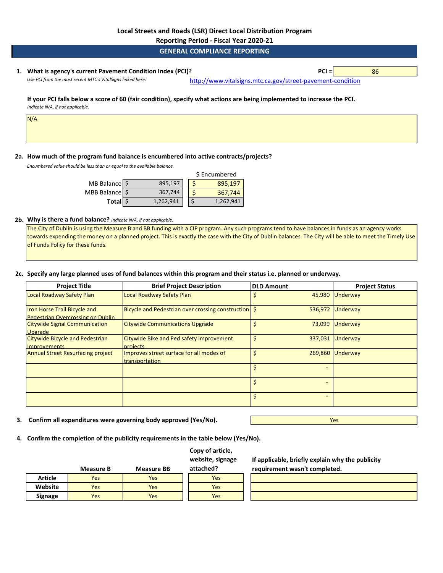**Reporting Period - Fiscal Year 2020-21**

**GENERAL COMPLIANCE REPORTING**

## **1. PCI =** 86 **What is agency's current Pavement Condition Index (PCI)?**

Use PCI from the most recent MTC's VitalSigns linked here: [http://www.vitalsig](http://www.vitalsigns.mtc.ca.gov/street-pavement-condition)ns.mtc.ca.gov/street-pavement-condition

#### **If your PCI falls below a score of 60 (fair condition), specify what actions are being implemented to increase the PCI.**  *Indicate N/A, if not applicable.*

N/A

## **2a. How much of the program fund balance is encumbered into active contracts/projects?**

*Encumbered value should be less than or equal to the available balance.* 

|                |           | \$ Encumbered |           |  |
|----------------|-----------|---------------|-----------|--|
| MB Balance \$  | 895,197   |               | 895,197   |  |
| MBB Balance \$ | 367,744   |               | 367,744   |  |
| Total \$       | 1,262,941 |               | 1,262,941 |  |

### **2b. Why is there a fund balance?** *Indicate N/A, if not applicable.*

The City of Dublin is using the Measure B and BB funding with a CIP program. Any such programs tend to have balances in funds as an agency works towards expending the money on a planned project. This is exactly the case with the City of Dublin balances. The City will be able to meet the Timely Use of Funds Policy for these funds.

## **2c. Specify any large planned uses of fund balances within this program and their status i.e. planned or underway.**

| <b>Project Title</b>                                              | <b>Brief Project Description</b>                           | <b>DLD Amount</b> | <b>Project Status</b> |
|-------------------------------------------------------------------|------------------------------------------------------------|-------------------|-----------------------|
| Local Roadway Safety Plan                                         | Local Roadway Safety Plan                                  |                   | 45,980 Underway       |
| Iron Horse Trail Bicycle and<br>Pedestrian Overcrossing on Dublin | Bicycle and Pedestrian over crossing construction   \$     |                   | 536,972 Underway      |
| <b>Citywide Signal Communication</b><br>Upgrade                   | <b>Citywide Communications Upgrade</b>                     |                   | 73,099 Underway       |
| <b>Citywide Bicycle and Pedestrian</b><br><b>Improvements</b>     | Citywide Bike and Ped safety improvement<br>projects       |                   | 337,031 Underway      |
| <b>Annual Street Resurfacing project</b>                          | Improves street surface for all modes of<br>transportation |                   | 269,860 Underway      |
|                                                                   |                                                            |                   |                       |
|                                                                   |                                                            |                   |                       |
|                                                                   |                                                            | Ś                 |                       |

**Copy of article,** 

**3. Confirm all expenditures were governing body approved (Yes/No).**

Yes

**4. Confirm the completion of the publicity requirements in the table below (Yes/No).**

|                | <b>Measure B</b> | <b>Measure BB</b> | <b>COPY OF GENERY</b><br>website, signage<br>attached? | If ap<br>requ |
|----------------|------------------|-------------------|--------------------------------------------------------|---------------|
| <b>Article</b> | Yes              | Yes               | Yes                                                    |               |
| Website        | Yes              | Yes               | Yes                                                    |               |
| <b>Signage</b> | Yes              | Yes               | Yes                                                    |               |

**If applicable, briefly explain why the publicity requirement wasn't completed.**